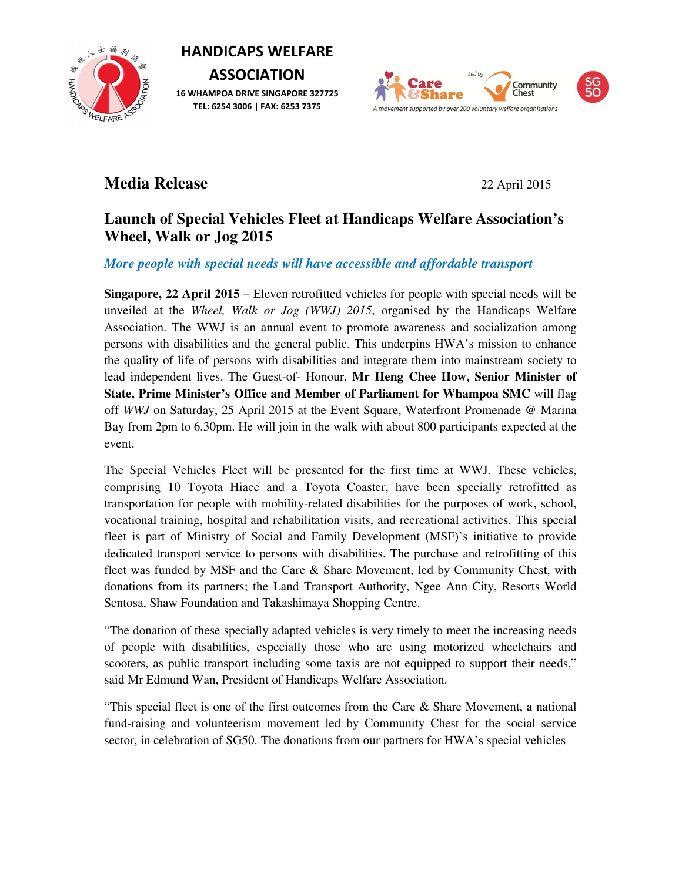3 ŹΗ HAND EARE ASSESSED TO THE MAIL OLD TO THE MAIL OLD ST

HANDICAPS WELFARE

ASSOCIATION 16 WHAMPOA DRIVE SINGAPORE 327725 TEL: 6254 3006 | FAX: 6253 7375





# **Media Release** 22 April 2015

# **Launch of Special Vehicles Fleet at Handicaps Welfare Association's Wheel, Walk or Jog 2015**

*More people with special needs will have accessible and affordable transport*

**Singapore, 22 April 2015** – Eleven retrofitted vehicles for people with special needs will be unveiled at the *Wheel, Walk or Jog (WWJ) 2015*, organised by the Handicaps Welfare Association. The WWJ is an annual event to promote awareness and socialization among persons with disabilities and the general public. This underpins HWA's mission to enhance the quality of life of persons with disabilities and integrate them into mainstream society to lead independent lives. The Guest-of- Honour, **Mr Heng Chee How, Senior Minister of State, Prime Minister's Office and Member of Parliament for Whampoa SMC** will flag off *WWJ* on Saturday, 25 April 2015 at the Event Square, Waterfront Promenade @ Marina Bay from 2pm to 6.30pm. He will join in the walk with about 800 participants expected at the event.

The Special Vehicles Fleet will be presented for the first time at WWJ. These vehicles, comprising 10 Toyota Hiace and a Toyota Coaster, have been specially retrofitted as transportation for people with mobility-related disabilities for the purposes of work, school, vocational training, hospital and rehabilitation visits, and recreational activities. This special fleet is part of Ministry of Social and Family Development (MSF)'s initiative to provide dedicated transport service to persons with disabilities. The purchase and retrofitting of this fleet was funded by MSF and the Care & Share Movement, led by Community Chest, with donations from its partners; the Land Transport Authority, Ngee Ann City, Resorts World Sentosa, Shaw Foundation and Takashimaya Shopping Centre.

"The donation of these specially adapted vehicles is very timely to meet the increasing needs of people with disabilities, especially those who are using motorized wheelchairs and scooters, as public transport including some taxis are not equipped to support their needs," said Mr Edmund Wan, President of Handicaps Welfare Association.

"This special fleet is one of the first outcomes from the Care  $\&$  Share Movement, a national fund-raising and volunteerism movement led by Community Chest for the social service sector, in celebration of SG50. The donations from our partners for HWA's special vehicles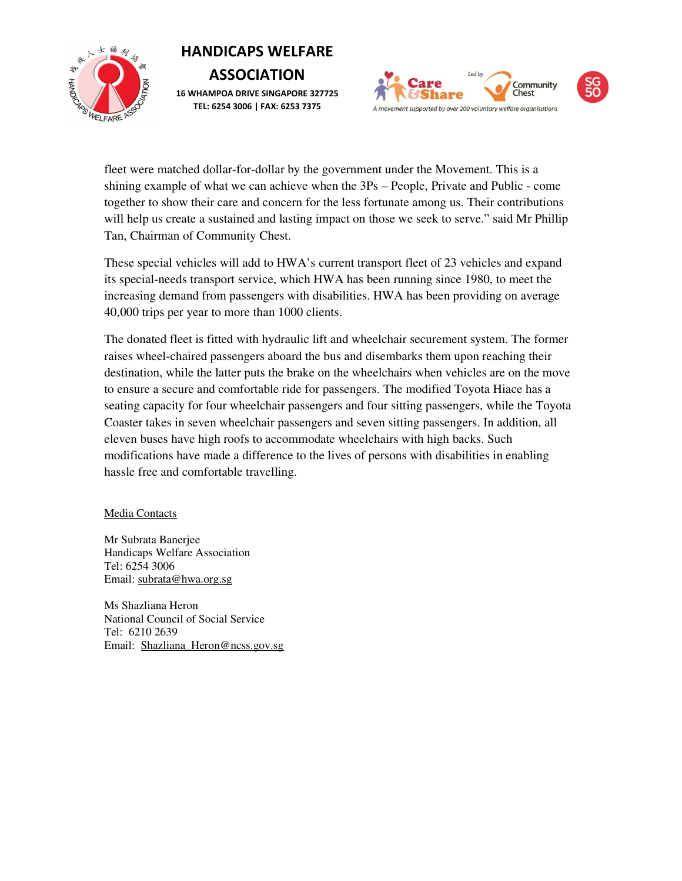

# HANDICAPS WELFARE **ASSOCIATION** 16 WHAMPOA DRIVE SINGAPORE 327725 TEL: 6254 3006 | FAX: 6253 7375



fleet were matched dollar-for-dollar by the government under the Movement. This is a shining example of what we can achieve when the 3Ps – People, Private and Public - come together to show their care and concern for the less fortunate among us. Their contributions will help us create a sustained and lasting impact on those we seek to serve." said Mr Phillip Tan, Chairman of Community Chest.

These special vehicles will add to HWA's current transport fleet of 23 vehicles and expand its special-needs transport service, which HWA has been running since 1980, to meet the increasing demand from passengers with disabilities. HWA has been providing on average 40,000 trips per year to more than 1000 clients.

The donated fleet is fitted with hydraulic lift and wheelchair securement system. The former raises wheel-chaired passengers aboard the bus and disembarks them upon reaching their destination, while the latter puts the brake on the wheelchairs when vehicles are on the move to ensure a secure and comfortable ride for passengers. The modified Toyota Hiace has a seating capacity for four wheelchair passengers and four sitting passengers, while the Toyota Coaster takes in seven wheelchair passengers and seven sitting passengers. In addition, all eleven buses have high roofs to accommodate wheelchairs with high backs. Such modifications have made a difference to the lives of persons with disabilities in enabling hassle free and comfortable travelling.

### Media Contacts

Mr Subrata Banerjee Handicaps Welfare Association Tel: 6254 3006 Email: subrata@hwa.org.sg

Ms Shazliana Heron National Council of Social Service Tel: 6210 2639 Email: Shazliana\_Heron@ncss.gov.sg